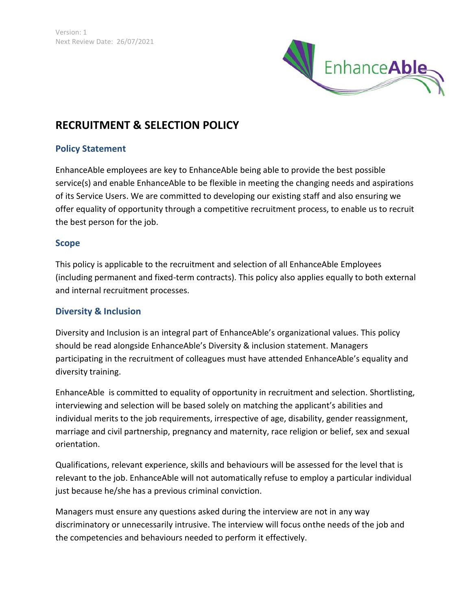

# **RECRUITMENT & SELECTION POLICY**

## **Policy Statement**

EnhanceAble employees are key to EnhanceAble being able to provide the best possible service(s) and enable EnhanceAble to be flexible in meeting the changing needs and aspirations of its Service Users. We are committed to developing our existing staff and also ensuring we offer equality of opportunity through a competitive recruitment process, to enable us to recruit the best person for the job.

#### **Scope**

This policy is applicable to the recruitment and selection of all EnhanceAble Employees (including permanent and fixed-term contracts). This policy also applies equally to both external and internal recruitment processes.

#### **Diversity & Inclusion**

Diversity and Inclusion is an integral part of EnhanceAble's organizational values. This policy should be read alongside EnhanceAble's Diversity & inclusion statement. Managers participating in the recruitment of colleagues must have attended EnhanceAble's equality and diversity training.

EnhanceAble is committed to equality of opportunity in recruitment and selection. Shortlisting, interviewing and selection will be based solely on matching the applicant's abilities and individual merits to the job requirements, irrespective of age, disability, gender reassignment, marriage and civil partnership, pregnancy and maternity, race religion or belief, sex and sexual orientation.

Qualifications, relevant experience, skills and behaviours will be assessed for the level that is relevant to the job. EnhanceAble will not automatically refuse to employ a particular individual just because he/she has a previous criminal conviction.

Managers must ensure any questions asked during the interview are not in any way discriminatory or unnecessarily intrusive. The interview will focus onthe needs of the job and the competencies and behaviours needed to perform it effectively.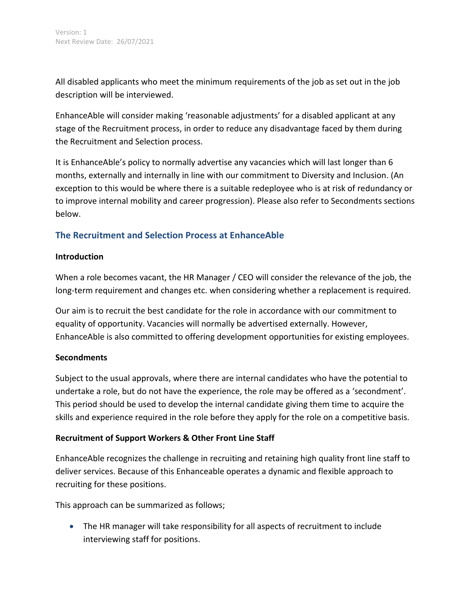All disabled applicants who meet the minimum requirements of the job as set out in the job description will be interviewed.

EnhanceAble will consider making 'reasonable adjustments' for a disabled applicant at any stage of the Recruitment process, in order to reduce any disadvantage faced by them during the Recruitment and Selection process.

It is EnhanceAble's policy to normally advertise any vacancies which will last longer than 6 months, externally and internally in line with our commitment to Diversity and Inclusion. (An exception to this would be where there is a suitable redeployee who is at risk of redundancy or to improve internal mobility and career progression). Please also refer to Secondments sections below.

# **The Recruitment and Selection Process at EnhanceAble**

#### **Introduction**

When a role becomes vacant, the HR Manager / CEO will consider the relevance of the job, the long-term requirement and changes etc. when considering whether a replacement is required.

Our aim is to recruit the best candidate for the role in accordance with our commitment to equality of opportunity. Vacancies will normally be advertised externally. However, EnhanceAble is also committed to offering development opportunities for existing employees.

#### **Secondments**

Subject to the usual approvals, where there are internal candidates who have the potential to undertake a role, but do not have the experience, the role may be offered as a 'secondment'. This period should be used to develop the internal candidate giving them time to acquire the skills and experience required in the role before they apply for the role on a competitive basis.

#### **Recruitment of Support Workers & Other Front Line Staff**

EnhanceAble recognizes the challenge in recruiting and retaining high quality front line staff to deliver services. Because of this Enhanceable operates a dynamic and flexible approach to recruiting for these positions.

This approach can be summarized as follows;

 The HR manager will take responsibility for all aspects of recruitment to include interviewing staff for positions.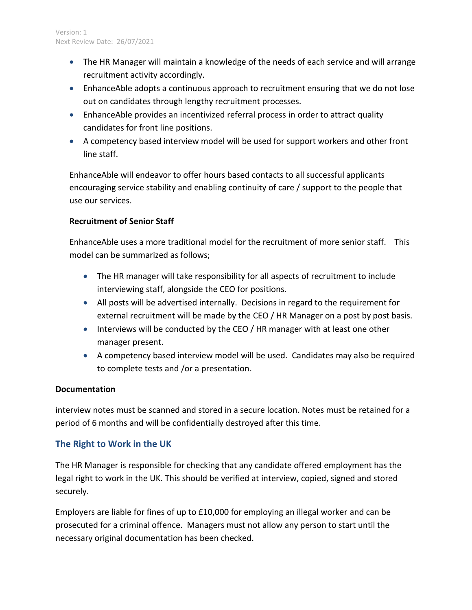- The HR Manager will maintain a knowledge of the needs of each service and will arrange recruitment activity accordingly.
- EnhanceAble adopts a continuous approach to recruitment ensuring that we do not lose out on candidates through lengthy recruitment processes.
- EnhanceAble provides an incentivized referral process in order to attract quality candidates for front line positions.
- A competency based interview model will be used for support workers and other front line staff.

EnhanceAble will endeavor to offer hours based contacts to all successful applicants encouraging service stability and enabling continuity of care / support to the people that use our services.

#### **Recruitment of Senior Staff**

EnhanceAble uses a more traditional model for the recruitment of more senior staff. This model can be summarized as follows;

- The HR manager will take responsibility for all aspects of recruitment to include interviewing staff, alongside the CEO for positions.
- All posts will be advertised internally. Decisions in regard to the requirement for external recruitment will be made by the CEO / HR Manager on a post by post basis.
- Interviews will be conducted by the CEO / HR manager with at least one other manager present.
- A competency based interview model will be used. Candidates may also be required to complete tests and /or a presentation.

#### **Documentation**

interview notes must be scanned and stored in a secure location. Notes must be retained for a period of 6 months and will be confidentially destroyed after this time.

# **The Right to Work in the UK**

The HR Manager is responsible for checking that any candidate offered employment has the legal right to work in the UK. This should be verified at interview, copied, signed and stored securely.

Employers are liable for fines of up to £10,000 for employing an illegal worker and can be prosecuted for a criminal offence. Managers must not allow any person to start until the necessary original documentation has been checked.